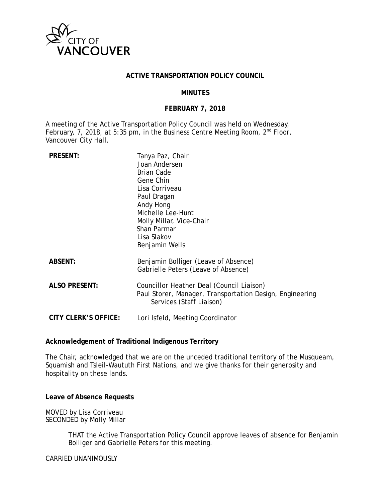

#### **ACTIVE TRANSPORTATION POLICY COUNCIL**

#### **MINUTES**

## **FEBRUARY 7, 2018**

A meeting of the Active Transportation Policy Council was held on Wednesday, February, 7, 2018, at 5:35 pm, in the Business Centre Meeting Room, 2<sup>nd</sup> Floor, Vancouver City Hall.

| <b>PRESENT:</b>             | Tanya Paz, Chair                                                                     |
|-----------------------------|--------------------------------------------------------------------------------------|
|                             | Joan Andersen                                                                        |
|                             | <b>Brian Cade</b>                                                                    |
|                             | Gene Chin                                                                            |
|                             | Lisa Corriveau                                                                       |
|                             | Paul Dragan                                                                          |
|                             | Andy Hong                                                                            |
|                             | Michelle Lee-Hunt                                                                    |
|                             | Molly Millar, Vice-Chair                                                             |
|                             | Shan Parmar                                                                          |
|                             | Lisa Slakov                                                                          |
|                             | Benjamin Wells                                                                       |
| <b>ABSENT:</b>              | Benjamin Bolliger (Leave of Absence)<br>Gabrielle Peters (Leave of Absence)          |
| <b>ALSO PRESENT:</b>        | Councillor Heather Deal (Council Liaison)                                            |
|                             | Paul Storer, Manager, Transportation Design, Engineering<br>Services (Staff Liaison) |
| <b>CITY CLERK'S OFFICE:</b> | Lori Isfeld, Meeting Coordinator                                                     |

### **Acknowledgement of Traditional Indigenous Territory**

The Chair, acknowledged that we are on the unceded traditional territory of the Musqueam, Squamish and Tsleil-Waututh First Nations, and we give thanks for their generosity and hospitality on these lands.

**Leave of Absence Requests**

MOVED by Lisa Corriveau SECONDED by Molly Millar

> THAT the Active Transportation Policy Council approve leaves of absence for Benjamin Bolliger and Gabrielle Peters for this meeting.

CARRIED UNANIMOUSLY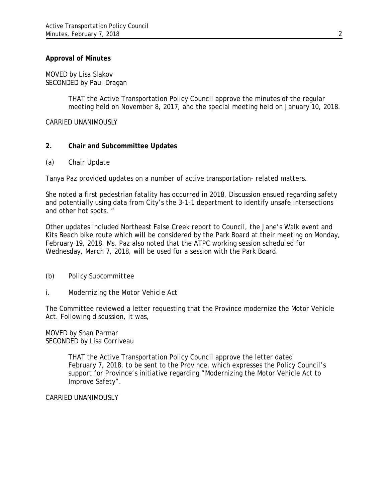## **Approval of Minutes**

MOVED by Lisa Slakov SECONDED by Paul Dragan

> THAT the Active Transportation Policy Council approve the minutes of the regular meeting held on November 8, 2017, and the special meeting held on January 10, 2018.

CARRIED UNANIMOUSLY

# **2. Chair and Subcommittee Updates**

#### *(a) Chair Update*

Tanya Paz provided updates on a number of active transportation- related matters.

She noted a first pedestrian fatality has occurred in 2018. Discussion ensued regarding safety and potentially using data from City's the 3-1-1 department to identify unsafe intersections and other hot spots. "

Other updates included Northeast False Creek report to Council, the Jane's Walk event and Kits Beach bike route which will be considered by the Park Board at their meeting on Monday, February 19, 2018. Ms. Paz also noted that the ATPC working session scheduled for Wednesday, March 7, 2018, will be used for a session with the Park Board.

# *(b) Policy Subcommittee*

*i. Modernizing the Motor Vehicle Act* 

The Committee reviewed a letter requesting that the Province modernize the Motor Vehicle Act. Following discussion, it was,

MOVED by Shan Parmar SECONDED by Lisa Corriveau

> THAT the Active Transportation Policy Council approve the letter dated February 7, 2018, to be sent to the Province, which expresses the Policy Council's support for Province's initiative regarding "Modernizing the Motor Vehicle Act to Improve Safety".

CARRIED UNANIMOUSLY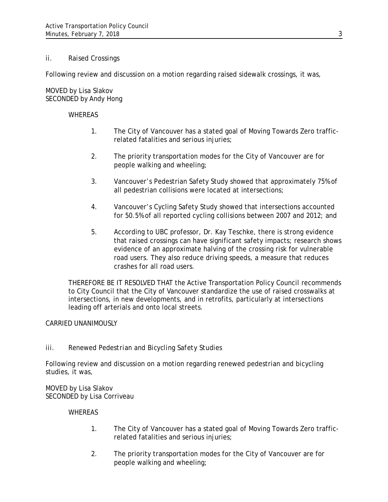## *ii. Raised Crossings*

Following review and discussion on a motion regarding raised sidewalk crossings, it was,

MOVED by Lisa Slakov SECONDED by Andy Hong

#### WHEREAS

- 1. The City of Vancouver has a stated goal of Moving Towards Zero trafficrelated fatalities and serious injuries;
- 2. The priority transportation modes for the City of Vancouver are for people walking and wheeling;
- 3. Vancouver's Pedestrian Safety Study showed that approximately 75% of all pedestrian collisions were located at intersections;
- 4. Vancouver's Cycling Safety Study showed that intersections accounted for 50.5% of all reported cycling collisions between 2007 and 2012; and
- 5. According to UBC professor, Dr. Kay Teschke, there is strong evidence that raised crossings can have significant safety impacts; research shows evidence of an approximate halving of the crossing risk for vulnerable road users. They also reduce driving speeds, a measure that reduces crashes for all road users.

THEREFORE BE IT RESOLVED THAT the Active Transportation Policy Council recommends to City Council that the City of Vancouver standardize the use of raised crosswalks at intersections, in new developments, and in retrofits, particularly at intersections leading off arterials and onto local streets.

#### CARRIED UNANIMOUSLY

# *iii. Renewed Pedestrian and Bicycling Safety Studies*

Following review and discussion on a motion regarding renewed pedestrian and bicycling studies, it was,

#### MOVED by Lisa Slakov SECONDED by Lisa Corriveau

#### **WHEREAS**

- 1. The City of Vancouver has a stated goal of Moving Towards Zero trafficrelated fatalities and serious injuries;
- 2. The priority transportation modes for the City of Vancouver are for people walking and wheeling;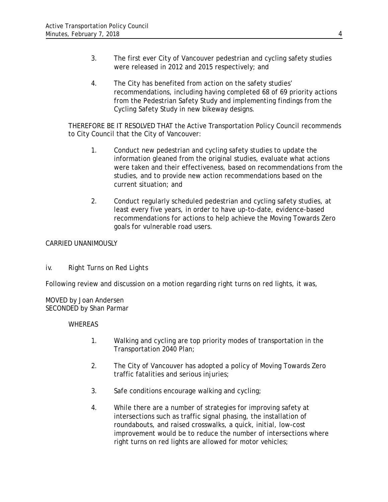- 3. The first ever City of Vancouver pedestrian and cycling safety studies were released in 2012 and 2015 respectively; and
- 4. The City has benefited from action on the safety studies' recommendations, including having completed 68 of 69 priority actions from the Pedestrian Safety Study and implementing findings from the Cycling Safety Study in new bikeway designs.

THEREFORE BE IT RESOLVED THAT the Active Transportation Policy Council recommends to City Council that the City of Vancouver:

- 1. Conduct new pedestrian and cycling safety studies to update the information gleaned from the original studies, evaluate what actions were taken and their effectiveness, based on recommendations from the studies, and to provide new action recommendations based on the current situation; and
- 2. Conduct regularly scheduled pedestrian and cycling safety studies, at least every five years, in order to have up-to-date, evidence-based recommendations for actions to help achieve the Moving Towards Zero goals for vulnerable road users.

# CARRIED UNANIMOUSLY

# *iv. Right Turns on Red Lights*

Following review and discussion on a motion regarding right turns on red lights, it was,

MOVED by Joan Andersen SECONDED by Shan Parmar

# WHEREAS

- 1. Walking and cycling are top priority modes of transportation in the Transportation 2040 Plan;
- 2. The City of Vancouver has adopted a policy of Moving Towards Zero traffic fatalities and serious injuries;
- 3. Safe conditions encourage walking and cycling;
- 4. While there are a number of strategies for improving safety at intersections such as traffic signal phasing, the installation of roundabouts, and raised crosswalks, a quick, initial, low-cost improvement would be to reduce the number of intersections where right turns on red lights are allowed for motor vehicles;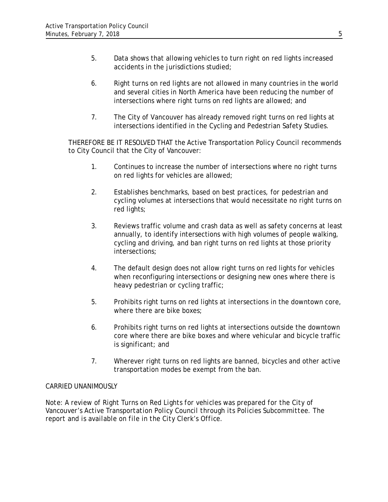- 5. Data shows that allowing vehicles to turn right on red lights increased accidents in the jurisdictions studied;
- 6. Right turns on red lights are not allowed in many countries in the world and several cities in North America have been reducing the number of intersections where right turns on red lights are allowed; and
- 7. The City of Vancouver has already removed right turns on red lights at intersections identified in the Cycling and Pedestrian Safety Studies.

THEREFORE BE IT RESOLVED THAT the Active Transportation Policy Council recommends to City Council that the City of Vancouver:

- 1. Continues to increase the number of intersections where no right turns on red lights for vehicles are allowed;
- 2. Establishes benchmarks, based on best practices, for pedestrian and cycling volumes at intersections that would necessitate no right turns on red lights;
- 3. Reviews traffic volume and crash data as well as safety concerns at least annually, to identify intersections with high volumes of people walking, cycling and driving, and ban right turns on red lights at those priority intersections;
- 4. The default design does not allow right turns on red lights for vehicles when reconfiguring intersections or designing new ones where there is heavy pedestrian or cycling traffic;
- 5. Prohibits right turns on red lights at intersections in the downtown core, where there are bike boxes;
- 6. Prohibits right turns on red lights at intersections outside the downtown core where there are bike boxes and where vehicular and bicycle traffic is significant; and
- 7. Wherever right turns on red lights are banned, bicycles and other active transportation modes be exempt from the ban.

# CARRIED UNANIMOUSLY

*Note: A review of Right Turns on Red Lights for vehicles was prepared for the City of Vancouver's Active Transportation Policy Council through its Policies Subcommittee. The report and is available on file in the City Clerk's Office.*